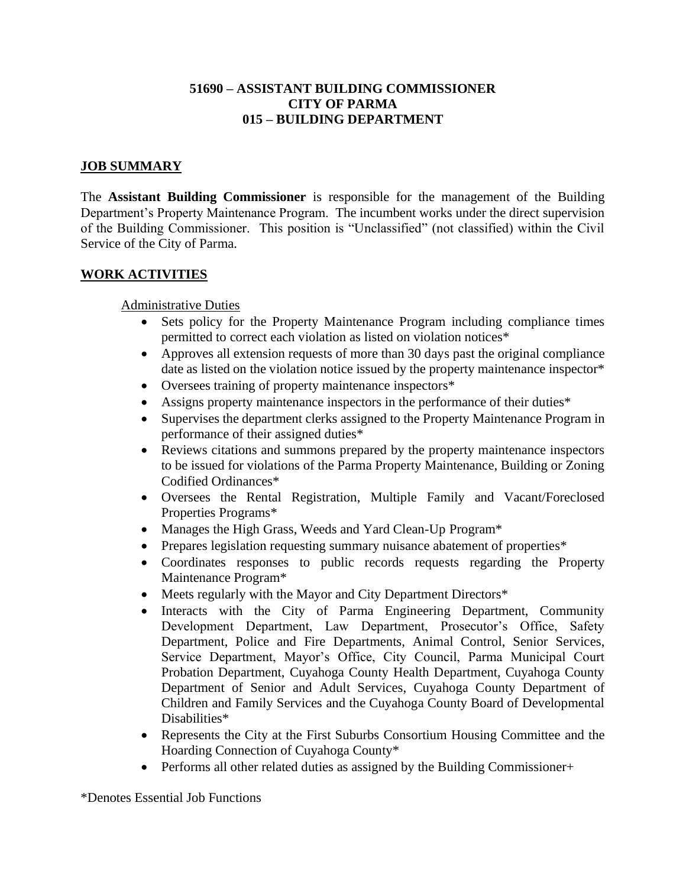### **51690 – ASSISTANT BUILDING COMMISSIONER CITY OF PARMA 015 – BUILDING DEPARTMENT**

### **JOB SUMMARY**

The **Assistant Building Commissioner** is responsible for the management of the Building Department's Property Maintenance Program. The incumbent works under the direct supervision of the Building Commissioner. This position is "Unclassified" (not classified) within the Civil Service of the City of Parma.

#### **WORK ACTIVITIES**

#### Administrative Duties

- Sets policy for the Property Maintenance Program including compliance times permitted to correct each violation as listed on violation notices\*
- Approves all extension requests of more than 30 days past the original compliance date as listed on the violation notice issued by the property maintenance inspector\*
- Oversees training of property maintenance inspectors\*
- Assigns property maintenance inspectors in the performance of their duties\*
- Supervises the department clerks assigned to the Property Maintenance Program in performance of their assigned duties\*
- Reviews citations and summons prepared by the property maintenance inspectors to be issued for violations of the Parma Property Maintenance, Building or Zoning Codified Ordinances\*
- Oversees the Rental Registration, Multiple Family and Vacant/Foreclosed Properties Programs\*
- Manages the High Grass, Weeds and Yard Clean-Up Program\*
- Prepares legislation requesting summary nuisance abatement of properties\*
- Coordinates responses to public records requests regarding the Property Maintenance Program\*
- Meets regularly with the Mayor and City Department Directors\*
- Interacts with the City of Parma Engineering Department, Community Development Department, Law Department, Prosecutor's Office, Safety Department, Police and Fire Departments, Animal Control, Senior Services, Service Department, Mayor's Office, City Council, Parma Municipal Court Probation Department, Cuyahoga County Health Department, Cuyahoga County Department of Senior and Adult Services, Cuyahoga County Department of Children and Family Services and the Cuyahoga County Board of Developmental Disabilities\*
- Represents the City at the First Suburbs Consortium Housing Committee and the Hoarding Connection of Cuyahoga County\*
- Performs all other related duties as assigned by the Building Commissioner+

\*Denotes Essential Job Functions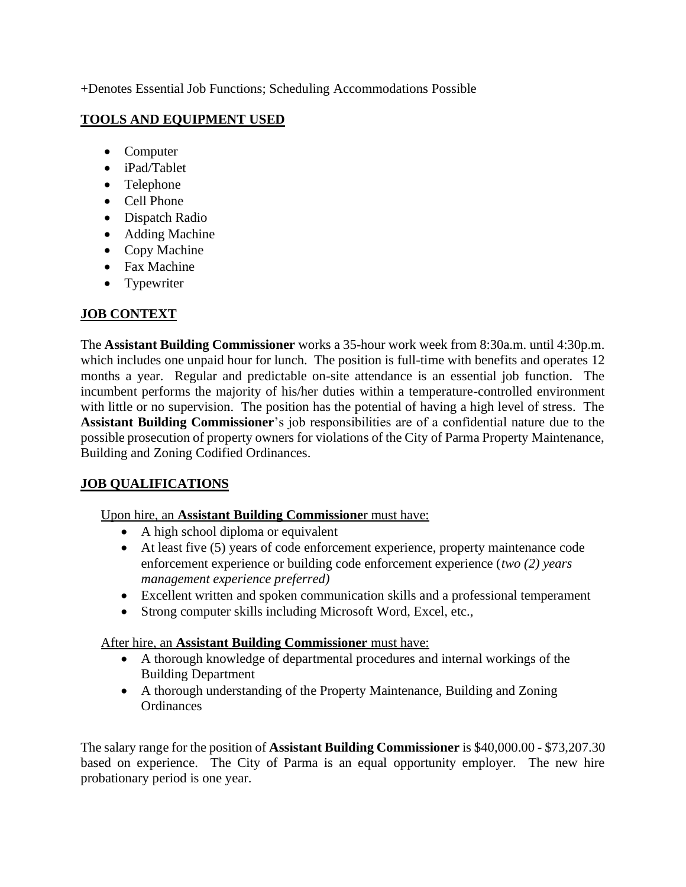+Denotes Essential Job Functions; Scheduling Accommodations Possible

## **TOOLS AND EQUIPMENT USED**

- Computer
- iPad/Tablet
- Telephone
- Cell Phone
- Dispatch Radio
- Adding Machine
- Copy Machine
- Fax Machine
- Typewriter

# **JOB CONTEXT**

The **Assistant Building Commissioner** works a 35-hour work week from 8:30a.m. until 4:30p.m. which includes one unpaid hour for lunch. The position is full-time with benefits and operates 12 months a year. Regular and predictable on-site attendance is an essential job function. The incumbent performs the majority of his/her duties within a temperature-controlled environment with little or no supervision. The position has the potential of having a high level of stress. The **Assistant Building Commissioner**'s job responsibilities are of a confidential nature due to the possible prosecution of property owners for violations of the City of Parma Property Maintenance, Building and Zoning Codified Ordinances.

# **JOB QUALIFICATIONS**

## Upon hire, an **Assistant Building Commissione**r must have:

- A high school diploma or equivalent
- At least five (5) years of code enforcement experience, property maintenance code enforcement experience or building code enforcement experience (*two (2) years management experience preferred)*
- Excellent written and spoken communication skills and a professional temperament
- Strong computer skills including Microsoft Word, Excel, etc.,

## After hire, an **Assistant Building Commissioner** must have:

- A thorough knowledge of departmental procedures and internal workings of the Building Department
- A thorough understanding of the Property Maintenance, Building and Zoning Ordinances

The salary range for the position of **Assistant Building Commissioner** is \$40,000.00 - \$73,207.30 based on experience. The City of Parma is an equal opportunity employer. The new hire probationary period is one year.